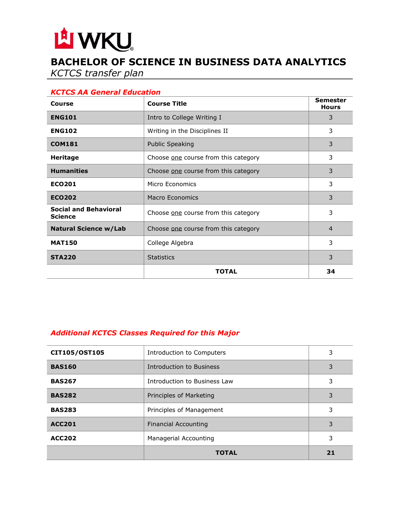# LA WKU

# **BACHELOR OF SCIENCE IN BUSINESS DATA ANALYTICS**

*KCTCS transfer plan*

#### *KCTCS AA General Education*

| Course                                         | <b>Course Title</b>                  | <b>Semester</b><br><b>Hours</b> |
|------------------------------------------------|--------------------------------------|---------------------------------|
| <b>ENG101</b>                                  | Intro to College Writing I           | 3                               |
| <b>ENG102</b>                                  | Writing in the Disciplines II        | 3                               |
| <b>COM181</b>                                  | <b>Public Speaking</b>               | 3                               |
| <b>Heritage</b>                                | Choose one course from this category | 3                               |
| <b>Humanities</b>                              | Choose one course from this category | 3                               |
| <b>ECO201</b>                                  | Micro Economics                      | 3                               |
| <b>ECO202</b>                                  | <b>Macro Economics</b>               | 3                               |
| <b>Social and Behavioral</b><br><b>Science</b> | Choose one course from this category | 3                               |
| <b>Natural Science w/Lab</b>                   | Choose one course from this category | $\overline{4}$                  |
| <b>MAT150</b>                                  | College Algebra                      | 3                               |
| <b>STA220</b>                                  | <b>Statistics</b>                    | 3                               |
|                                                | TOTAL                                | 34                              |

## *Additional KCTCS Classes Required for this Major*

| CIT105/OST105 | Introduction to Computers    | 3  |
|---------------|------------------------------|----|
| <b>BAS160</b> | Introduction to Business     | 3  |
| <b>BAS267</b> | Introduction to Business Law | 3  |
| <b>BAS282</b> | Principles of Marketing      | 3  |
| <b>BAS283</b> | Principles of Management     | 3  |
| <b>ACC201</b> | Financial Accounting         | 3  |
| <b>ACC202</b> | Managerial Accounting        | 3  |
|               | <b>TOTAL</b>                 | 21 |